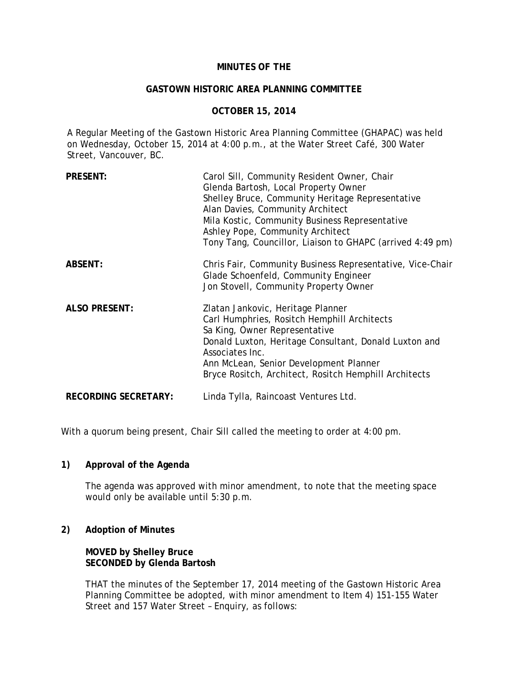# **MINUTES OF THE**

#### **GASTOWN HISTORIC AREA PLANNING COMMITTEE**

# **OCTOBER 15, 2014**

A Regular Meeting of the Gastown Historic Area Planning Committee (GHAPAC) was held on Wednesday, October 15, 2014 at 4:00 p.m., at the Water Street Café, 300 Water Street, Vancouver, BC.

| <b>PRESENT:</b>             | Carol Sill, Community Resident Owner, Chair<br>Glenda Bartosh, Local Property Owner<br>Shelley Bruce, Community Heritage Representative<br>Alan Davies, Community Architect<br>Mila Kostic, Community Business Representative<br>Ashley Pope, Community Architect<br>Tony Tang, Councillor, Liaison to GHAPC (arrived 4:49 pm) |
|-----------------------------|--------------------------------------------------------------------------------------------------------------------------------------------------------------------------------------------------------------------------------------------------------------------------------------------------------------------------------|
| ABSENT:                     | Chris Fair, Community Business Representative, Vice-Chair<br>Glade Schoenfeld, Community Engineer<br>Jon Stovell, Community Property Owner                                                                                                                                                                                     |
| <b>ALSO PRESENT:</b>        | Zlatan Jankovic, Heritage Planner<br>Carl Humphries, Rositch Hemphill Architects<br>Sa King, Owner Representative<br>Donald Luxton, Heritage Consultant, Donald Luxton and<br>Associates Inc.<br>Ann McLean, Senior Development Planner<br>Bryce Rositch, Architect, Rositch Hemphill Architects                               |
| <b>RECORDING SECRETARY:</b> | Linda Tylla, Raincoast Ventures Ltd.                                                                                                                                                                                                                                                                                           |

With a quorum being present, Chair Sill called the meeting to order at 4:00 pm.

# **1) Approval of the Agenda**

The agenda was approved with minor amendment, to note that the meeting space would only be available until 5:30 p.m.

### **2) Adoption of Minutes**

**MOVED by Shelley Bruce SECONDED by Glenda Bartosh** 

THAT the minutes of the September 17, 2014 meeting of the Gastown Historic Area Planning Committee be adopted, with minor amendment to Item 4) 151-155 Water Street and 157 Water Street – Enquiry, as follows: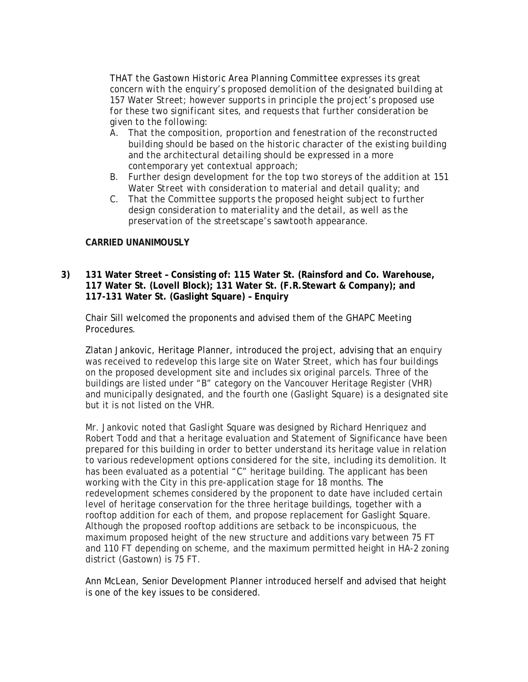*THAT the Gastown Historic Area Planning Committee expresses its great concern with the enquiry's proposed demolition of the designated building at 157 Water Street; however supports in principle the project's proposed use for these two significant sites, and requests that further consideration be given to the following:* 

- *A. That the composition, proportion and fenestration of the reconstructed building should be based on the historic character of the existing building and the architectural detailing should be expressed in a more contemporary yet contextual approach;*
- *B. Further design development for the top two storeys of the addition at 151 Water Street with consideration to material and detail quality; and*
- *C. That the Committee supports the proposed height subject to further design consideration to materiality and the detail, as well as the preservation of the streetscape's sawtooth appearance.*

# **CARRIED UNANIMOUSLY**

# **3) 131 Water Street – Consisting of: 115 Water St. (Rainsford and Co. Warehouse, 117 Water St. (Lovell Block); 131 Water St. (F.R.Stewart & Company); and 117-131 Water St. (Gaslight Square) – Enquiry**

Chair Sill welcomed the proponents and advised them of the GHAPC Meeting Procedures.

Zlatan Jankovic, Heritage Planner, introduced the project, advising that an enquiry was received to redevelop this large site on Water Street, which has four buildings on the proposed development site and includes six original parcels. Three of the buildings are listed under "B" category on the Vancouver Heritage Register (VHR) and municipally designated, and the fourth one (Gaslight Square) is a designated site but it is not listed on the VHR.

Mr. Jankovic noted that Gaslight Square was designed by Richard Henriquez and Robert Todd and that a heritage evaluation and Statement of Significance have been prepared for this building in order to better understand its heritage value in relation to various redevelopment options considered for the site, including its demolition. It has been evaluated as a potential "C" heritage building. The applicant has been working with the City in this pre-application stage for 18 months. The redevelopment schemes considered by the proponent to date have included certain level of heritage conservation for the three heritage buildings, together with a rooftop addition for each of them, and propose replacement for Gaslight Square. Although the proposed rooftop additions are setback to be inconspicuous, the maximum proposed height of the new structure and additions vary between 75 FT and 110 FT depending on scheme, and the maximum permitted height in HA-2 zoning district (Gastown) is 75 FT.

Ann McLean, Senior Development Planner introduced herself and advised that height is one of the key issues to be considered.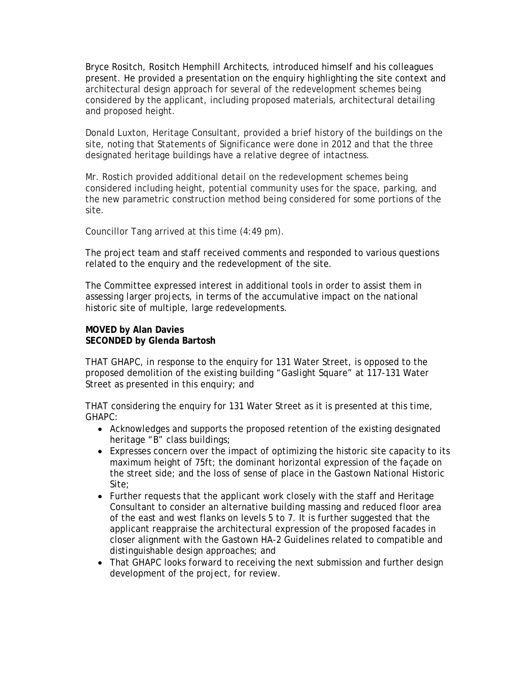Bryce Rositch, Rositch Hemphill Architects, introduced himself and his colleagues present. He provided a presentation on the enquiry highlighting the site context and architectural design approach for several of the redevelopment schemes being considered by the applicant, including proposed materials, architectural detailing and proposed height.

Donald Luxton, Heritage Consultant, provided a brief history of the buildings on the site, noting that Statements of Significance were done in 2012 and that the three designated heritage buildings have a relative degree of intactness.

Mr. Rostich provided additional detail on the redevelopment schemes being considered including height, potential community uses for the space, parking, and the new parametric construction method being considered for some portions of the site.

Councillor Tang arrived at this time (4:49 pm).

The project team and staff received comments and responded to various questions related to the enquiry and the redevelopment of the site.

The Committee expressed interest in additional tools in order to assist them in assessing larger projects, in terms of the accumulative impact on the national historic site of multiple, large redevelopments.

# **MOVED by Alan Davies SECONDED by Glenda Bartosh**

THAT GHAPC, in response to the enquiry for 131 Water Street, is opposed to the proposed demolition of the existing building "Gaslight Square" at 117-131 Water Street as presented in this enquiry; and

THAT considering the enquiry for 131 Water Street as it is presented at this time, GHAPC:

- Acknowledges and supports the proposed retention of the existing designated heritage "B" class buildings;
- Expresses concern over the impact of optimizing the historic site capacity to its maximum height of 75ft; the dominant horizontal expression of the façade on the street side; and the loss of sense of place in the Gastown National Historic Site;
- Further requests that the applicant work closely with the staff and Heritage Consultant to consider an alternative building massing and reduced floor area of the east and west flanks on levels 5 to 7. It is further suggested that the applicant reappraise the architectural expression of the proposed facades in closer alignment with the Gastown HA-2 Guidelines related to compatible and distinguishable design approaches; and
- That GHAPC looks forward to receiving the next submission and further design development of the project, for review.